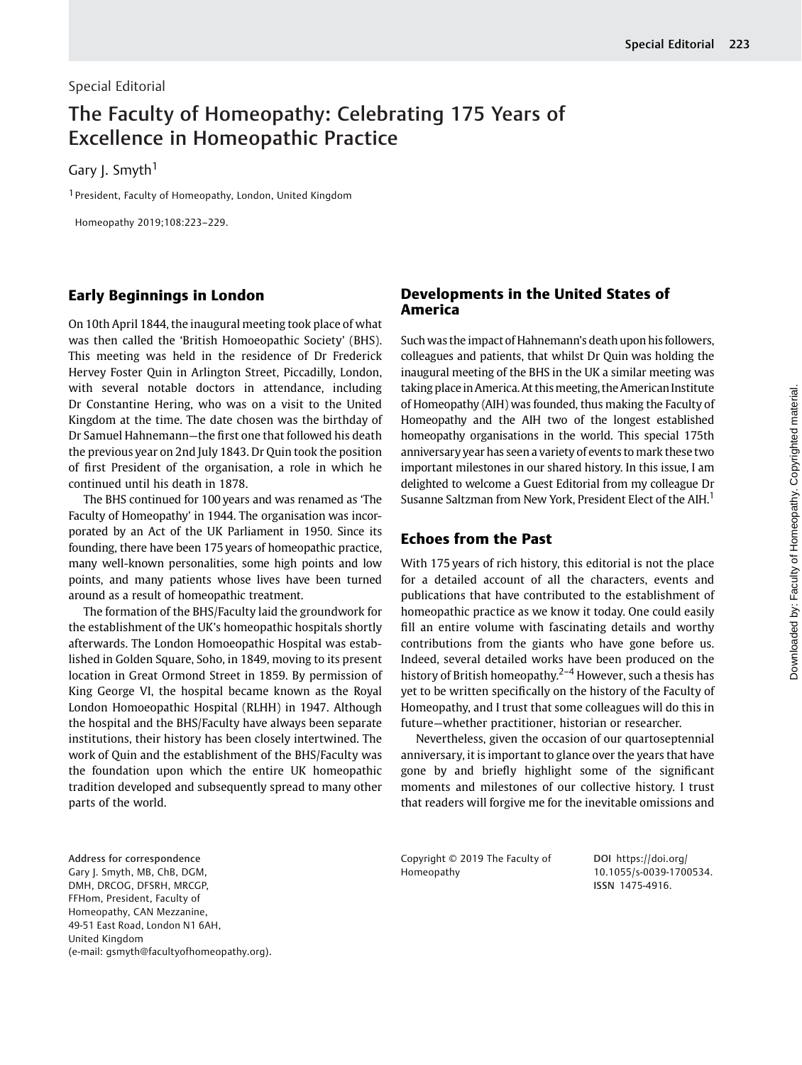### Special Editorial

# The Faculty of Homeopathy: Celebrating 175 Years of Excellence in Homeopathic Practice

Gary J. Smyth<sup>1</sup>

<sup>1</sup> President, Faculty of Homeopathy, London, United Kingdom

Homeopathy 2019;108:223–229.

## Early Beginnings in London

On 10th April 1844, the inaugural meeting took place of what was then called the 'British Homoeopathic Society' (BHS). This meeting was held in the residence of Dr Frederick Hervey Foster Quin in Arlington Street, Piccadilly, London, with several notable doctors in attendance, including Dr Constantine Hering, who was on a visit to the United Kingdom at the time. The date chosen was the birthday of Dr Samuel Hahnemann—the first one that followed his death the previous year on 2nd July 1843. Dr Quin took the position of first President of the organisation, a role in which he continued until his death in 1878.

The BHS continued for 100 years and was renamed as 'The Faculty of Homeopathy' in 1944. The organisation was incorporated by an Act of the UK Parliament in 1950. Since its founding, there have been 175 years of homeopathic practice, many well-known personalities, some high points and low points, and many patients whose lives have been turned around as a result of homeopathic treatment.

The formation of the BHS/Faculty laid the groundwork for the establishment of the UK's homeopathic hospitals shortly afterwards. The London Homoeopathic Hospital was established in Golden Square, Soho, in 1849, moving to its present location in Great Ormond Street in 1859. By permission of King George VI, the hospital became known as the Royal London Homoeopathic Hospital (RLHH) in 1947. Although the hospital and the BHS/Faculty have always been separate institutions, their history has been closely intertwined. The work of Quin and the establishment of the BHS/Faculty was the foundation upon which the entire UK homeopathic tradition developed and subsequently spread to many other parts of the world.

#### Address for correspondence Gary J. Smyth, MB, ChB, DGM, DMH, DRCOG, DFSRH, MRCGP, FFHom, President, Faculty of Homeopathy, CAN Mezzanine, 49-51 East Road, London N1 6AH, United Kingdom (e-mail: [gsmyth@facultyofhomeopathy.org\)](mailto:).

## Developments in the United States of America

Such was the impact of Hahnemann's death upon his followers, colleagues and patients, that whilst Dr Quin was holding the inaugural meeting of the BHS in the UK a similar meeting was taking place in America. At this meeting, the American Institute of Homeopathy (AIH) was founded, thus making the Faculty of Homeopathy and the AIH two of the longest established homeopathy organisations in the world. This special 175th anniversary year has seen a variety of events to mark these two important milestones in our shared history. In this issue, I am delighted to welcome a Guest Editorial from my colleague Dr Susanne Saltzman from New York, President Elect of the AIH.<sup>1</sup>

## Echoes from the Past

With 175 years of rich history, this editorial is not the place for a detailed account of all the characters, events and publications that have contributed to the establishment of homeopathic practice as we know it today. One could easily fill an entire volume with fascinating details and worthy contributions from the giants who have gone before us. Indeed, several detailed works have been produced on the history of British homeopathy.<sup>2-4</sup> However, such a thesis has yet to be written specifically on the history of the Faculty of Homeopathy, and I trust that some colleagues will do this in future—whether practitioner, historian or researcher.

Nevertheless, given the occasion of our quartoseptennial anniversary, it is important to glance over the years that have gone by and briefly highlight some of the significant moments and milestones of our collective history. I trust that readers will forgive me for the inevitable omissions and

Copyright © 2019 The Faculty of Homeopathy

DOI [https://doi.org/](https://doi.org/10.1055/s-0039-1700534) [10.1055/s-0039-1700534](https://doi.org/10.1055/s-0039-1700534). ISSN 1475-4916.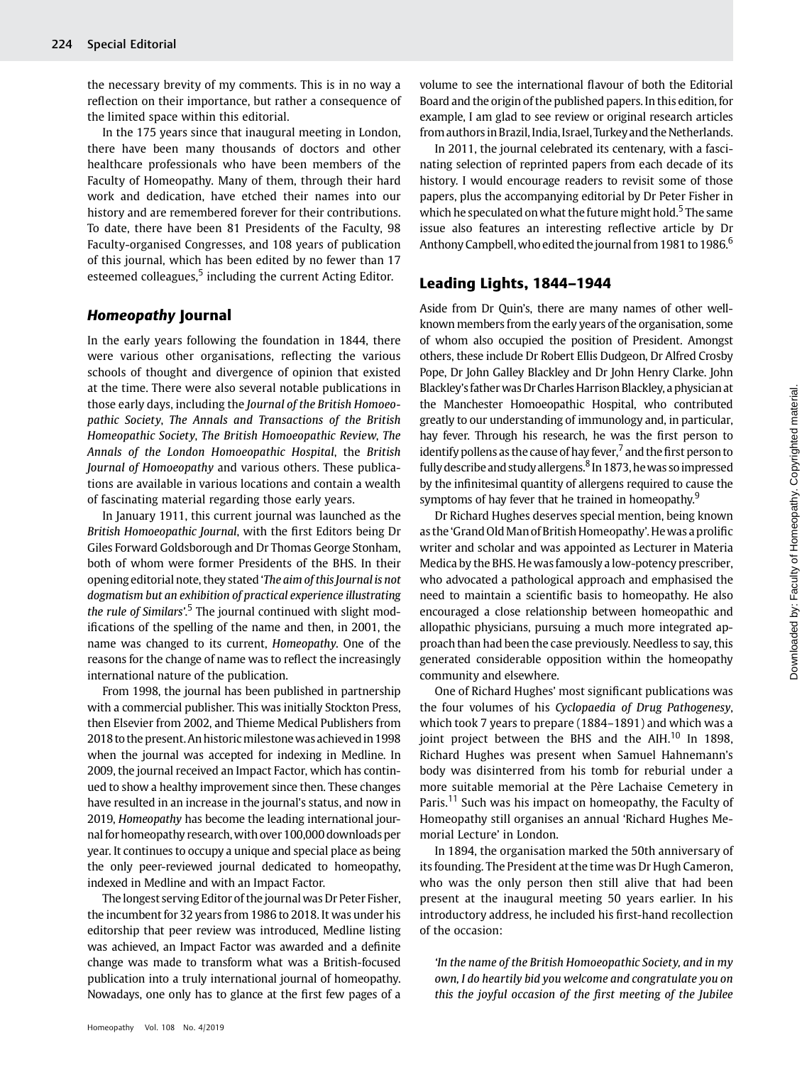the necessary brevity of my comments. This is in no way a reflection on their importance, but rather a consequence of the limited space within this editorial.

In the 175 years since that inaugural meeting in London, there have been many thousands of doctors and other healthcare professionals who have been members of the Faculty of Homeopathy. Many of them, through their hard work and dedication, have etched their names into our history and are remembered forever for their contributions. To date, there have been 81 Presidents of the Faculty, 98 Faculty-organised Congresses, and 108 years of publication of this journal, which has been edited by no fewer than 17 esteemed colleagues,<sup>5</sup> including the current Acting Editor.

### Homeopathy Journal

In the early years following the foundation in 1844, there were various other organisations, reflecting the various schools of thought and divergence of opinion that existed at the time. There were also several notable publications in those early days, including the Journal of the British Homoeopathic Society, The Annals and Transactions of the British Homeopathic Society, The British Homoeopathic Review, The Annals of the London Homoeopathic Hospital, the British Journal of Homoeopathy and various others. These publications are available in various locations and contain a wealth of fascinating material regarding those early years.

In January 1911, this current journal was launched as the British Homoeopathic Journal, with the first Editors being Dr Giles Forward Goldsborough and Dr Thomas George Stonham, both of whom were former Presidents of the BHS. In their opening editorial note, they stated 'The aim of this Journal is not dogmatism but an exhibition of practical experience illustrating *the rule of Similars'.*<sup>5</sup> The journal continued with slight modifications of the spelling of the name and then, in 2001, the name was changed to its current, Homeopathy. One of the reasons for the change of name was to reflect the increasingly international nature of the publication.

From 1998, the journal has been published in partnership with a commercial publisher. This was initially Stockton Press, then Elsevier from 2002, and Thieme Medical Publishers from 2018 to the present.An historicmilestonewas achievedin 1998 when the journal was accepted for indexing in Medline. In 2009, the journal received an Impact Factor, which has continued to show a healthy improvement since then. These changes have resulted in an increase in the journal's status, and now in 2019, Homeopathy has become the leading international journal for homeopathy research,with over 100,000 downloads per year. It continues to occupy a unique and special place as being the only peer-reviewed journal dedicated to homeopathy, indexed in Medline and with an Impact Factor.

The longest serving Editor of the journal was Dr Peter Fisher, the incumbent for 32 years from 1986 to 2018. It was under his editorship that peer review was introduced, Medline listing was achieved, an Impact Factor was awarded and a definite change was made to transform what was a British-focused publication into a truly international journal of homeopathy. Nowadays, one only has to glance at the first few pages of a volume to see the international flavour of both the Editorial Board and the origin of the published papers. In this edition, for example, I am glad to see review or original research articles from authors in Brazil, India, Israel, Turkey and the Netherlands.

In 2011, the journal celebrated its centenary, with a fascinating selection of reprinted papers from each decade of its history. I would encourage readers to revisit some of those papers, plus the accompanying editorial by Dr Peter Fisher in which he speculated on what the future might hold.<sup>5</sup> The same issue also features an interesting reflective article by Dr Anthony Campbell, who edited the journal from 1981 to 1986.<sup>6</sup>

#### Leading Lights, 1844–1944

Aside from Dr Quin's, there are many names of other wellknown members from the early years of the organisation, some of whom also occupied the position of President. Amongst others, these include Dr Robert Ellis Dudgeon, Dr Alfred Crosby Pope, Dr John Galley Blackley and Dr John Henry Clarke. John Blackley's father was Dr Charles Harrison Blackley, a physician at the Manchester Homoeopathic Hospital, who contributed greatly to our understanding of immunology and, in particular, hay fever. Through his research, he was the first person to identify pollens as the cause of hay fever, $^7$  and the first person to fully describe and study allergens. $8 \ln 1873$ , he was so impressed by the infinitesimal quantity of allergens required to cause the symptoms of hay fever that he trained in homeopathy.<sup>9</sup>

Dr Richard Hughes deserves special mention, being known as the 'Grand Old Man of British Homeopathy'. He was a prolific writer and scholar and was appointed as Lecturer in Materia Medica by the BHS. He was famously a low-potency prescriber, who advocated a pathological approach and emphasised the need to maintain a scientific basis to homeopathy. He also encouraged a close relationship between homeopathic and allopathic physicians, pursuing a much more integrated approach than had been the case previously. Needless to say, this generated considerable opposition within the homeopathy community and elsewhere.

One of Richard Hughes' most significant publications was the four volumes of his Cyclopaedia of Drug Pathogenesy, which took 7 years to prepare (1884–1891) and which was a joint project between the BHS and the  $AH<sup>10</sup>$  In 1898, Richard Hughes was present when Samuel Hahnemann's body was disinterred from his tomb for reburial under a more suitable memorial at the Père Lachaise Cemetery in Paris.<sup>11</sup> Such was his impact on homeopathy, the Faculty of Homeopathy still organises an annual 'Richard Hughes Memorial Lecture' in London.

In 1894, the organisation marked the 50th anniversary of its founding. The President at the time was Dr Hugh Cameron, who was the only person then still alive that had been present at the inaugural meeting 50 years earlier. In his introductory address, he included his first-hand recollection of the occasion:

'In the name of the British Homoeopathic Society, and in my own, I do heartily bid you welcome and congratulate you on this the joyful occasion of the first meeting of the Jubilee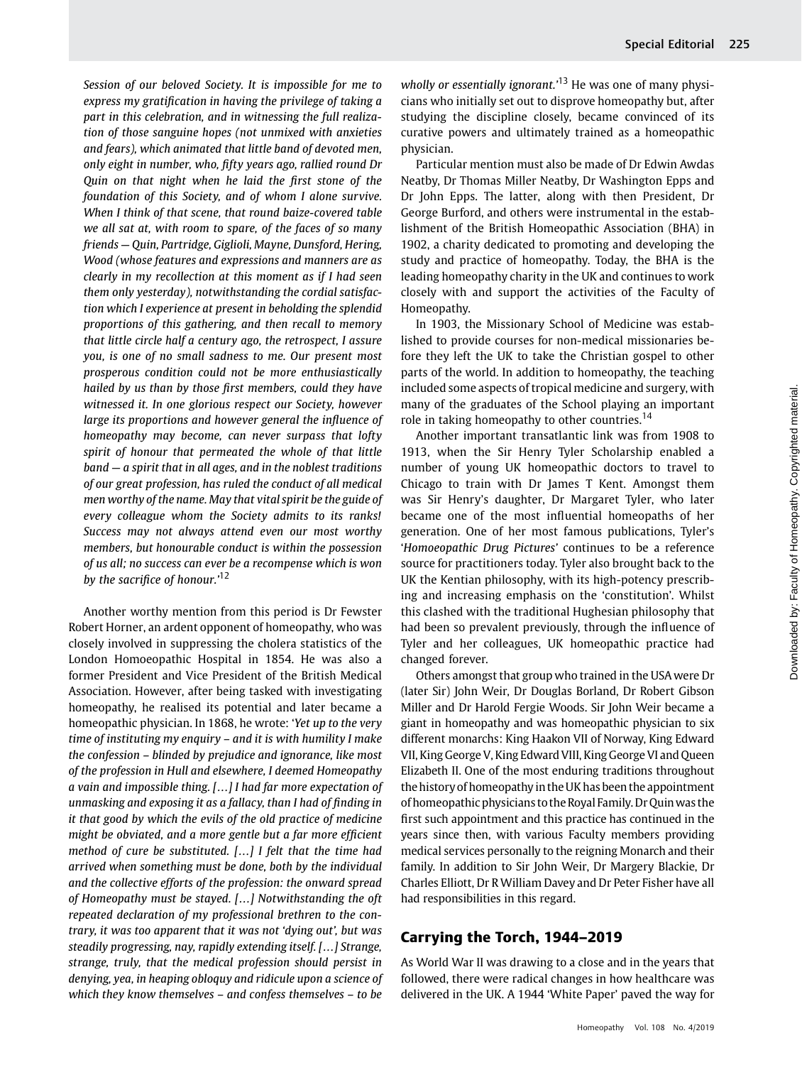Session of our beloved Society. It is impossible for me to express my gratification in having the privilege of taking a part in this celebration, and in witnessing the full realization of those sanguine hopes (not unmixed with anxieties and fears), which animated that little band of devoted men, only eight in number, who, fifty years ago, rallied round Dr Quin on that night when he laid the first stone of the foundation of this Society, and of whom I alone survive. When I think of that scene, that round baize-covered table we all sat at, with room to spare, of the faces of so many friends — Quin, Partridge, Giglioli, Mayne, Dunsford, Hering, Wood (whose features and expressions and manners are as clearly in my recollection at this moment as if I had seen them only yesterday), notwithstanding the cordial satisfaction which I experience at present in beholding the splendid proportions of this gathering, and then recall to memory that little circle half a century ago, the retrospect, I assure you, is one of no small sadness to me. Our present most prosperous condition could not be more enthusiastically hailed by us than by those first members, could they have witnessed it. In one glorious respect our Society, however large its proportions and however general the influence of homeopathy may become, can never surpass that lofty spirit of honour that permeated the whole of that little band — a spirit that in all ages, and in the noblest traditions of our great profession, has ruled the conduct of all medical men worthy of the name. May that vital spirit be the guide of every colleague whom the Society admits to its ranks! Success may not always attend even our most worthy members, but honourable conduct is within the possession of us all; no success can ever be a recompense which is won by the sacrifice of honour.'<sup>12</sup>

Another worthy mention from this period is Dr Fewster Robert Horner, an ardent opponent of homeopathy, who was closely involved in suppressing the cholera statistics of the London Homoeopathic Hospital in 1854. He was also a former President and Vice President of the British Medical Association. However, after being tasked with investigating homeopathy, he realised its potential and later became a homeopathic physician. In 1868, he wrote: 'Yet up to the very time of instituting my enquiry – and it is with humility I make the confession – blinded by prejudice and ignorance, like most of the profession in Hull and elsewhere, I deemed Homeopathy a vain and impossible thing. […] I had far more expectation of unmasking and exposing it as a fallacy, than I had of finding in it that good by which the evils of the old practice of medicine might be obviated, and a more gentle but a far more efficient method of cure be substituted. […] I felt that the time had arrived when something must be done, both by the individual and the collective efforts of the profession: the onward spread of Homeopathy must be stayed. […] Notwithstanding the oft repeated declaration of my professional brethren to the contrary, it was too apparent that it was not 'dying out', but was steadily progressing, nay, rapidly extending itself. […] Strange, strange, truly, that the medical profession should persist in denying, yea, in heaping obloquy and ridicule upon a science of which they know themselves – and confess themselves – to be

wholly or essentially ignorant.'<sup>13</sup> He was one of many physicians who initially set out to disprove homeopathy but, after studying the discipline closely, became convinced of its curative powers and ultimately trained as a homeopathic physician.

Particular mention must also be made of Dr Edwin Awdas Neatby, Dr Thomas Miller Neatby, Dr Washington Epps and Dr John Epps. The latter, along with then President, Dr George Burford, and others were instrumental in the establishment of the British Homeopathic Association (BHA) in 1902, a charity dedicated to promoting and developing the study and practice of homeopathy. Today, the BHA is the leading homeopathy charity in the UK and continues to work closely with and support the activities of the Faculty of Homeopathy.

In 1903, the Missionary School of Medicine was established to provide courses for non-medical missionaries before they left the UK to take the Christian gospel to other parts of the world. In addition to homeopathy, the teaching included some aspects of tropical medicine and surgery, with many of the graduates of the School playing an important role in taking homeopathy to other countries.<sup>14</sup>

Another important transatlantic link was from 1908 to 1913, when the Sir Henry Tyler Scholarship enabled a number of young UK homeopathic doctors to travel to Chicago to train with Dr James T Kent. Amongst them was Sir Henry's daughter, Dr Margaret Tyler, who later became one of the most influential homeopaths of her generation. One of her most famous publications, Tyler's 'Homoeopathic Drug Pictures' continues to be a reference source for practitioners today. Tyler also brought back to the UK the Kentian philosophy, with its high-potency prescribing and increasing emphasis on the 'constitution'. Whilst this clashed with the traditional Hughesian philosophy that had been so prevalent previously, through the influence of Tyler and her colleagues, UK homeopathic practice had changed forever.

Others amongst that group who trained in the USA were Dr (later Sir) John Weir, Dr Douglas Borland, Dr Robert Gibson Miller and Dr Harold Fergie Woods. Sir John Weir became a giant in homeopathy and was homeopathic physician to six different monarchs: King Haakon VII of Norway, King Edward VII, King George V, King Edward VIII, King George VI and Queen Elizabeth II. One of the most enduring traditions throughout the history of homeopathy in the UK has been the appointment of homeopathic physicians to the Royal Family. Dr Quinwas the first such appointment and this practice has continued in the years since then, with various Faculty members providing medical services personally to the reigning Monarch and their family. In addition to Sir John Weir, Dr Margery Blackie, Dr Charles Elliott, Dr R William Davey and Dr Peter Fisher have all had responsibilities in this regard.

# Carrying the Torch, 1944–2019

As World War II was drawing to a close and in the years that followed, there were radical changes in how healthcare was delivered in the UK. A 1944 'White Paper' paved the way for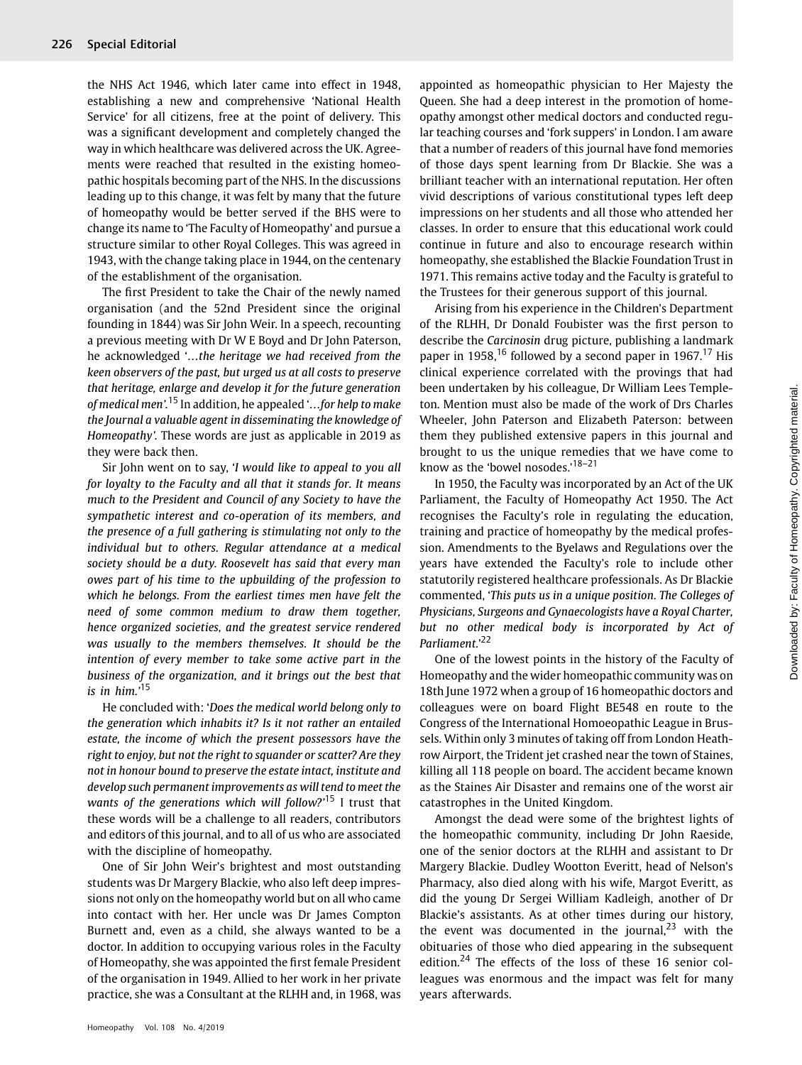the NHS Act 1946, which later came into effect in 1948, establishing a new and comprehensive 'National Health Service' for all citizens, free at the point of delivery. This was a significant development and completely changed the way in which healthcare was delivered across the UK. Agreements were reached that resulted in the existing homeopathic hospitals becoming part of the NHS. In the discussions leading up to this change, it was felt by many that the future of homeopathy would be better served if the BHS were to change its name to 'The Faculty of Homeopathy' and pursue a structure similar to other Royal Colleges. This was agreed in 1943, with the change taking place in 1944, on the centenary of the establishment of the organisation.

The first President to take the Chair of the newly named organisation (and the 52nd President since the original founding in 1844) was Sir John Weir. In a speech, recounting a previous meeting with Dr W E Boyd and Dr John Paterson, he acknowledged '…the heritage we had received from the keen observers of the past, but urged us at all costs to preserve that heritage, enlarge and develop it for the future generation of medical men'. <sup>15</sup> In addition, he appealed '...for help to make the Journal a valuable agent in disseminating the knowledge of Homeopathy'. These words are just as applicable in 2019 as they were back then.

Sir John went on to say, 'I would like to appeal to you all for loyalty to the Faculty and all that it stands for. It means much to the President and Council of any Society to have the sympathetic interest and co-operation of its members, and the presence of a full gathering is stimulating not only to the individual but to others. Regular attendance at a medical society should be a duty. Roosevelt has said that every man owes part of his time to the upbuilding of the profession to which he belongs. From the earliest times men have felt the need of some common medium to draw them together, hence organized societies, and the greatest service rendered was usually to the members themselves. It should be the intention of every member to take some active part in the business of the organization, and it brings out the best that is in him.' 15

He concluded with: 'Does the medical world belong only to the generation which inhabits it? Is it not rather an entailed estate, the income of which the present possessors have the right to enjoy, but not the right to squander or scatter? Are they not in honour bound to preserve the estate intact, institute and develop such permanent improvements as will tend to meet the wants of the generations which will follow?'<sup>15</sup> I trust that these words will be a challenge to all readers, contributors and editors of this journal, and to all of us who are associated with the discipline of homeopathy.

One of Sir John Weir's brightest and most outstanding students was Dr Margery Blackie, who also left deep impressions not only on the homeopathy world but on all who came into contact with her. Her uncle was Dr James Compton Burnett and, even as a child, she always wanted to be a doctor. In addition to occupying various roles in the Faculty of Homeopathy, she was appointed the first female President of the organisation in 1949. Allied to her work in her private practice, she was a Consultant at the RLHH and, in 1968, was appointed as homeopathic physician to Her Majesty the Queen. She had a deep interest in the promotion of homeopathy amongst other medical doctors and conducted regular teaching courses and 'fork suppers' in London. I am aware that a number of readers of this journal have fond memories of those days spent learning from Dr Blackie. She was a brilliant teacher with an international reputation. Her often vivid descriptions of various constitutional types left deep impressions on her students and all those who attended her classes. In order to ensure that this educational work could continue in future and also to encourage research within homeopathy, she established the Blackie Foundation Trust in 1971. This remains active today and the Faculty is grateful to the Trustees for their generous support of this journal.

Arising from his experience in the Children's Department of the RLHH, Dr Donald Foubister was the first person to describe the Carcinosin drug picture, publishing a landmark paper in 1958,<sup>16</sup> followed by a second paper in 1967.<sup>17</sup> His clinical experience correlated with the provings that had been undertaken by his colleague, Dr William Lees Templeton. Mention must also be made of the work of Drs Charles Wheeler, John Paterson and Elizabeth Paterson: between them they published extensive papers in this journal and brought to us the unique remedies that we have come to know as the 'bowel nosodes.' 18–21

In 1950, the Faculty was incorporated by an Act of the UK Parliament, the Faculty of Homeopathy Act 1950. The Act recognises the Faculty's role in regulating the education, training and practice of homeopathy by the medical profession. Amendments to the Byelaws and Regulations over the years have extended the Faculty's role to include other statutorily registered healthcare professionals. As Dr Blackie commented, 'This puts us in a unique position. The Colleges of Physicians, Surgeons and Gynaecologists have a Royal Charter, but no other medical body is incorporated by Act of Parliament.' 22

One of the lowest points in the history of the Faculty of Homeopathy and the wider homeopathic community was on 18th June 1972 when a group of 16 homeopathic doctors and colleagues were on board Flight BE548 en route to the Congress of the International Homoeopathic League in Brussels. Within only 3 minutes of taking off from London Heathrow Airport, the Trident jet crashed near the town of Staines, killing all 118 people on board. The accident became known as the Staines Air Disaster and remains one of the worst air catastrophes in the United Kingdom.

Amongst the dead were some of the brightest lights of the homeopathic community, including Dr John Raeside, one of the senior doctors at the RLHH and assistant to Dr Margery Blackie. Dudley Wootton Everitt, head of Nelson's Pharmacy, also died along with his wife, Margot Everitt, as did the young Dr Sergei William Kadleigh, another of Dr Blackie's assistants. As at other times during our history, the event was documented in the journal, $^{23}$  with the obituaries of those who died appearing in the subsequent edition.<sup>24</sup> The effects of the loss of these 16 senior colleagues was enormous and the impact was felt for many years afterwards.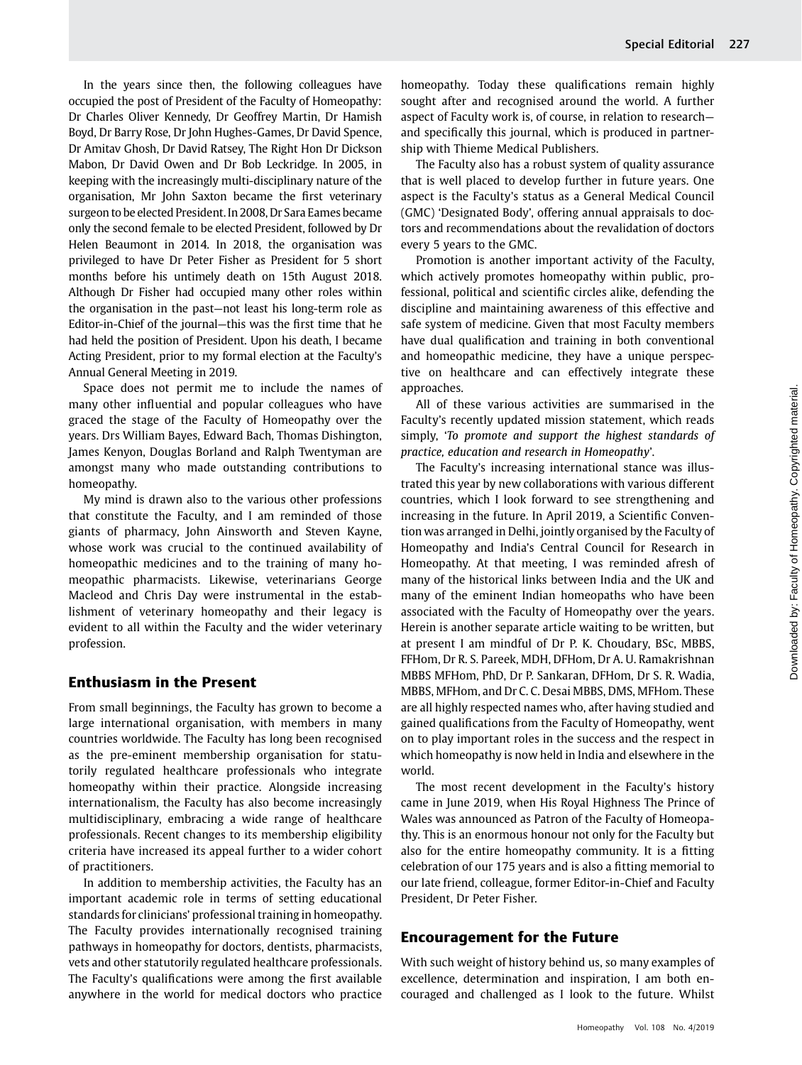In the years since then, the following colleagues have occupied the post of President of the Faculty of Homeopathy: Dr Charles Oliver Kennedy, Dr Geoffrey Martin, Dr Hamish Boyd, Dr Barry Rose, Dr John Hughes-Games, Dr David Spence, Dr Amitav Ghosh, Dr David Ratsey, The Right Hon Dr Dickson Mabon, Dr David Owen and Dr Bob Leckridge. In 2005, in keeping with the increasingly multi-disciplinary nature of the organisation, Mr John Saxton became the first veterinary surgeon to be elected President. In 2008, Dr Sara Eames became only the second female to be elected President, followed by Dr Helen Beaumont in 2014. In 2018, the organisation was privileged to have Dr Peter Fisher as President for 5 short months before his untimely death on 15th August 2018. Although Dr Fisher had occupied many other roles within

the organisation in the past—not least his long-term role as Editor-in-Chief of the journal—this was the first time that he had held the position of President. Upon his death, I became Acting President, prior to my formal election at the Faculty's Annual General Meeting in 2019.

Space does not permit me to include the names of many other influential and popular colleagues who have graced the stage of the Faculty of Homeopathy over the years. Drs William Bayes, Edward Bach, Thomas Dishington, James Kenyon, Douglas Borland and Ralph Twentyman are amongst many who made outstanding contributions to homeopathy.

My mind is drawn also to the various other professions that constitute the Faculty, and I am reminded of those giants of pharmacy, John Ainsworth and Steven Kayne, whose work was crucial to the continued availability of homeopathic medicines and to the training of many homeopathic pharmacists. Likewise, veterinarians George Macleod and Chris Day were instrumental in the establishment of veterinary homeopathy and their legacy is evident to all within the Faculty and the wider veterinary profession.

## Enthusiasm in the Present

From small beginnings, the Faculty has grown to become a large international organisation, with members in many countries worldwide. The Faculty has long been recognised as the pre-eminent membership organisation for statutorily regulated healthcare professionals who integrate homeopathy within their practice. Alongside increasing internationalism, the Faculty has also become increasingly multidisciplinary, embracing a wide range of healthcare professionals. Recent changes to its membership eligibility criteria have increased its appeal further to a wider cohort of practitioners.

In addition to membership activities, the Faculty has an important academic role in terms of setting educational standards for clinicians' professional training in homeopathy. The Faculty provides internationally recognised training pathways in homeopathy for doctors, dentists, pharmacists, vets and other statutorily regulated healthcare professionals. The Faculty's qualifications were among the first available anywhere in the world for medical doctors who practice homeopathy. Today these qualifications remain highly sought after and recognised around the world. A further aspect of Faculty work is, of course, in relation to research and specifically this journal, which is produced in partnership with Thieme Medical Publishers.

The Faculty also has a robust system of quality assurance that is well placed to develop further in future years. One aspect is the Faculty's status as a General Medical Council (GMC) 'Designated Body', offering annual appraisals to doctors and recommendations about the revalidation of doctors every 5 years to the GMC.

Promotion is another important activity of the Faculty, which actively promotes homeopathy within public, professional, political and scientific circles alike, defending the discipline and maintaining awareness of this effective and safe system of medicine. Given that most Faculty members have dual qualification and training in both conventional and homeopathic medicine, they have a unique perspective on healthcare and can effectively integrate these approaches.

All of these various activities are summarised in the Faculty's recently updated mission statement, which reads simply, 'To promote and support the highest standards of practice, education and research in Homeopathy'.

The Faculty's increasing international stance was illustrated this year by new collaborations with various different countries, which I look forward to see strengthening and increasing in the future. In April 2019, a Scientific Convention was arranged in Delhi, jointly organised by the Faculty of Homeopathy and India's Central Council for Research in Homeopathy. At that meeting, I was reminded afresh of many of the historical links between India and the UK and many of the eminent Indian homeopaths who have been associated with the Faculty of Homeopathy over the years. Herein is another separate article waiting to be written, but at present I am mindful of Dr P. K. Choudary, BSc, MBBS, FFHom, Dr R. S. Pareek, MDH, DFHom, Dr A. U. Ramakrishnan MBBS MFHom, PhD, Dr P. Sankaran, DFHom, Dr S. R. Wadia, MBBS, MFHom, and Dr C. C. Desai MBBS, DMS, MFHom. These are all highly respected names who, after having studied and gained qualifications from the Faculty of Homeopathy, went on to play important roles in the success and the respect in which homeopathy is now held in India and elsewhere in the world.

The most recent development in the Faculty's history came in June 2019, when His Royal Highness The Prince of Wales was announced as Patron of the Faculty of Homeopathy. This is an enormous honour not only for the Faculty but also for the entire homeopathy community. It is a fitting celebration of our 175 years and is also a fitting memorial to our late friend, colleague, former Editor-in-Chief and Faculty President, Dr Peter Fisher.

## Encouragement for the Future

With such weight of history behind us, so many examples of excellence, determination and inspiration, I am both encouraged and challenged as I look to the future. Whilst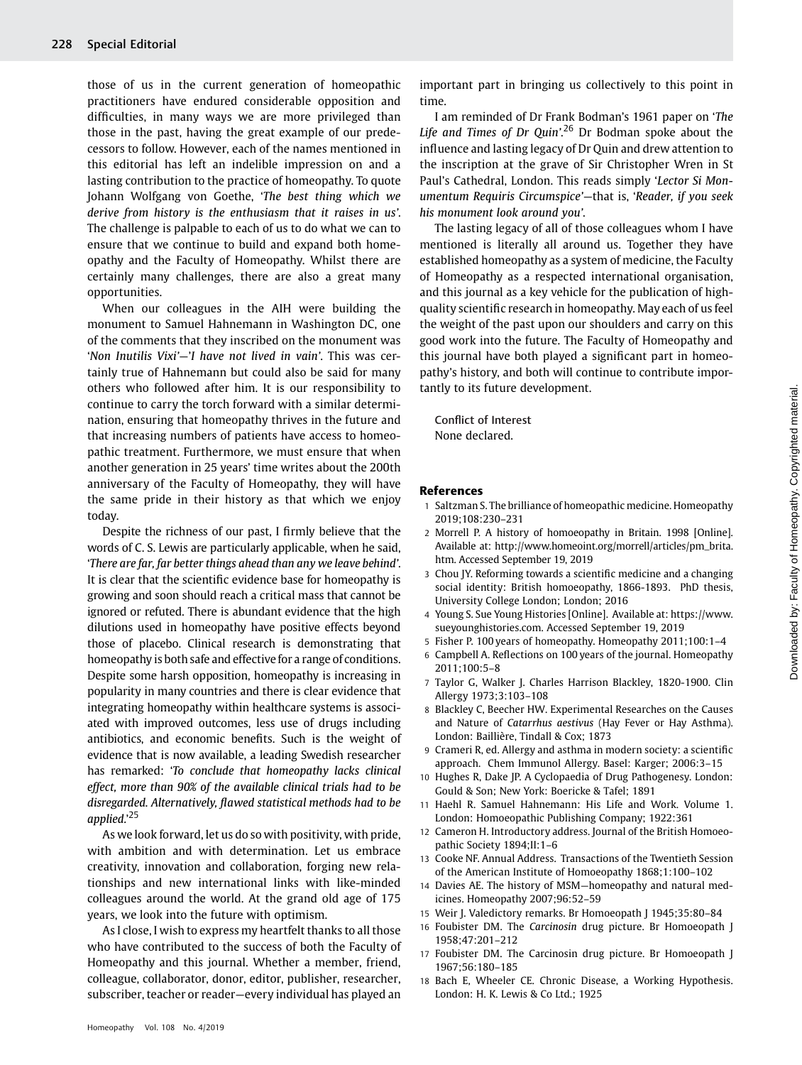those of us in the current generation of homeopathic practitioners have endured considerable opposition and difficulties, in many ways we are more privileged than those in the past, having the great example of our predecessors to follow. However, each of the names mentioned in this editorial has left an indelible impression on and a lasting contribution to the practice of homeopathy. To quote Johann Wolfgang von Goethe, 'The best thing which we derive from history is the enthusiasm that it raises in us'. The challenge is palpable to each of us to do what we can to ensure that we continue to build and expand both homeopathy and the Faculty of Homeopathy. Whilst there are certainly many challenges, there are also a great many opportunities.

When our colleagues in the AIH were building the monument to Samuel Hahnemann in Washington DC, one of the comments that they inscribed on the monument was 'Non Inutilis Vixi'—'I have not lived in vain'. This was certainly true of Hahnemann but could also be said for many others who followed after him. It is our responsibility to continue to carry the torch forward with a similar determination, ensuring that homeopathy thrives in the future and that increasing numbers of patients have access to homeopathic treatment. Furthermore, we must ensure that when another generation in 25 years' time writes about the 200th anniversary of the Faculty of Homeopathy, they will have the same pride in their history as that which we enjoy today.

Despite the richness of our past, I firmly believe that the words of C. S. Lewis are particularly applicable, when he said, 'There are far, far better things ahead than any we leave behind'. It is clear that the scientific evidence base for homeopathy is growing and soon should reach a critical mass that cannot be ignored or refuted. There is abundant evidence that the high dilutions used in homeopathy have positive effects beyond those of placebo. Clinical research is demonstrating that homeopathy is both safe and effective for a range of conditions. Despite some harsh opposition, homeopathy is increasing in popularity in many countries and there is clear evidence that integrating homeopathy within healthcare systems is associated with improved outcomes, less use of drugs including antibiotics, and economic benefits. Such is the weight of evidence that is now available, a leading Swedish researcher has remarked: 'To conclude that homeopathy lacks clinical effect, more than 90% of the available clinical trials had to be disregarded. Alternatively, flawed statistical methods had to be applied.'<sup>25</sup>

As we look forward, let us do so with positivity, with pride, with ambition and with determination. Let us embrace creativity, innovation and collaboration, forging new relationships and new international links with like-minded colleagues around the world. At the grand old age of 175 years, we look into the future with optimism.

As I close, I wish to express my heartfelt thanks to all those who have contributed to the success of both the Faculty of Homeopathy and this journal. Whether a member, friend, colleague, collaborator, donor, editor, publisher, researcher, subscriber, teacher or reader—every individual has played an

important part in bringing us collectively to this point in time.

I am reminded of Dr Frank Bodman's 1961 paper on 'The Life and Times of Dr Quin'.<sup>26</sup> Dr Bodman spoke about the influence and lasting legacy of Dr Quin and drew attention to the inscription at the grave of Sir Christopher Wren in St Paul's Cathedral, London. This reads simply 'Lector Si Monumentum Requiris Circumspice'—that is, 'Reader, if you seek his monument look around you'.

The lasting legacy of all of those colleagues whom I have mentioned is literally all around us. Together they have established homeopathy as a system of medicine, the Faculty of Homeopathy as a respected international organisation, and this journal as a key vehicle for the publication of highquality scientific research in homeopathy. May each of us feel the weight of the past upon our shoulders and carry on this good work into the future. The Faculty of Homeopathy and this journal have both played a significant part in homeopathy's history, and both will continue to contribute importantly to its future development.

Conflict of Interest None declared.

#### References

- 1 Saltzman S. The brilliance of homeopathic medicine. Homeopathy 2019;108:230–231
- 2 Morrell P. A history of homoeopathy in Britain. 1998 [Online]. Available at: [http://www.homeoint.org/morrell/articles/pm\\_brita.](http://www.homeoint.org/morrell/articles/pm_brita.htm) [htm.](http://www.homeoint.org/morrell/articles/pm_brita.htm) Accessed September 19, 2019
- 3 Chou JY. Reforming towards a scientific medicine and a changing social identity: British homoeopathy, 1866-1893. PhD thesis, University College London; London; 2016
- 4 Young S. Sue Young Histories [Online]. Available at: [https://www.](https://www.sueyounghistories.com) [sueyounghistories.com](https://www.sueyounghistories.com). Accessed September 19, 2019
- 5 Fisher P. 100 years of homeopathy. Homeopathy 2011;100:1–4
- 6 Campbell A. Reflections on 100 years of the journal. Homeopathy 2011;100:5–8
- 7 Taylor G, Walker J. Charles Harrison Blackley, 1820-1900. Clin Allergy 1973;3:103–108
- 8 Blackley C, Beecher HW. Experimental Researches on the Causes and Nature of Catarrhus aestivus (Hay Fever or Hay Asthma). London: Baillière, Tindall & Cox; 1873
- 9 Crameri R, ed. Allergy and asthma in modern society: a scientific approach. Chem Immunol Allergy. Basel: Karger; 2006:3–15
- Hughes R, Dake JP. A Cyclopaedia of Drug Pathogenesy. London: Gould & Son; New York: Boericke & Tafel; 1891
- 11 Haehl R. Samuel Hahnemann: His Life and Work. Volume 1. London: Homoeopathic Publishing Company; 1922:361
- 12 Cameron H. Introductory address. Journal of the British Homoeopathic Society 1894;II:1–6
- Cooke NF. Annual Address. Transactions of the Twentieth Session of the American Institute of Homoeopathy 1868;1:100–102
- 14 Davies AE. The history of MSM—homeopathy and natural medicines. Homeopathy 2007;96:52–59
- 15 Weir J. Valedictory remarks. Br Homoeopath J 1945;35:80–84
- 16 Foubister DM. The Carcinosin drug picture. Br Homoeopath J 1958;47:201–212
- 17 Foubister DM. The Carcinosin drug picture. Br Homoeopath J 1967;56:180–185
- 18 Bach E, Wheeler CE. Chronic Disease, a Working Hypothesis. London: H. K. Lewis & Co Ltd.; 1925